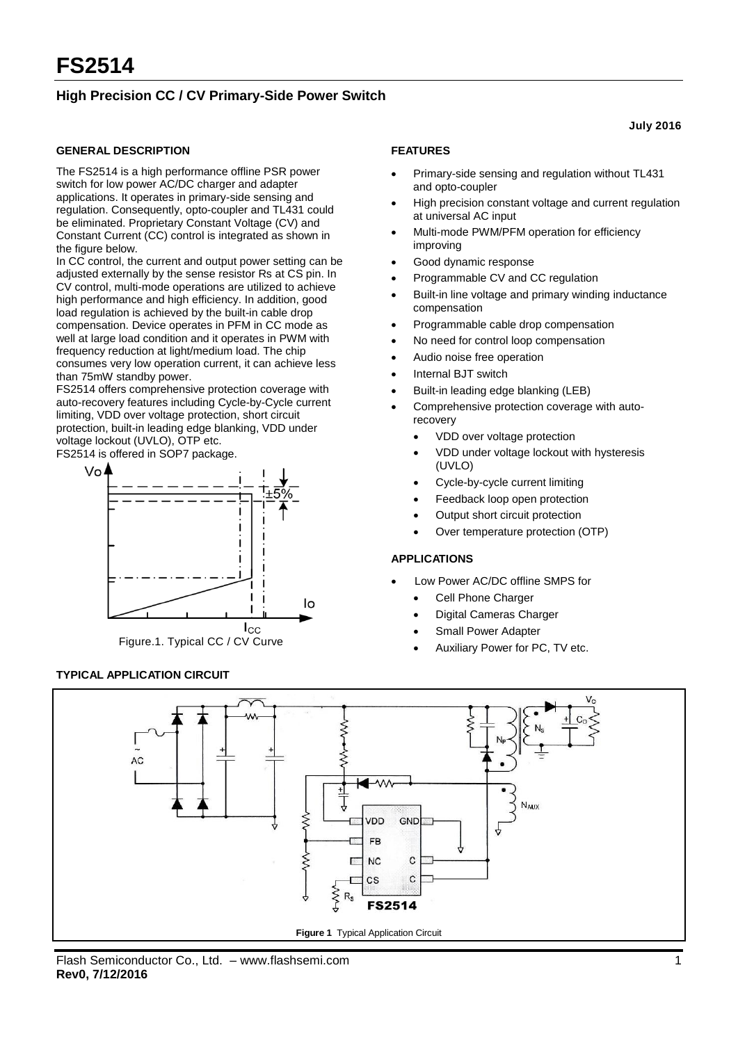## **High Precision CC / CV Primary-Side Power Switch**

### **GENERAL DESCRIPTION**

The FS2514 is a high performance offline PSR power switch for low power AC/DC charger and adapter applications. It operates in primary-side sensing and regulation. Consequently, opto-coupler and TL431 could be eliminated. Proprietary Constant Voltage (CV) and Constant Current (CC) control is integrated as shown in the figure below.

In CC control, the current and output power setting can be adjusted externally by the sense resistor Rs at CS pin. In CV control, multi-mode operations are utilized to achieve high performance and high efficiency. In addition, good load regulation is achieved by the built-in cable drop compensation. Device operates in PFM in CC mode as well at large load condition and it operates in PWM with frequency reduction at light/medium load. The chip consumes very low operation current, it can achieve less than 75mW standby power.

FS2514 offers comprehensive protection coverage with auto-recovery features including Cycle-by-Cycle current limiting, VDD over voltage protection, short circuit protection, built-in leading edge blanking, VDD under voltage lockout (UVLO), OTP etc.

FS2514 is offered in SOP7 package.



**TYPICAL APPLICATION CIRCUIT**

## **FEATURES**

- Primary-side sensing and regulation without TL431 and opto-coupler
- High precision constant voltage and current regulation at universal AC input
- Multi-mode PWM/PFM operation for efficiency improving
- Good dynamic response
- Programmable CV and CC regulation
- Built-in line voltage and primary winding inductance compensation
- Programmable cable drop compensation
- No need for control loop compensation
- Audio noise free operation
- Internal BJT switch
- Built-in leading edge blanking (LEB)
- Comprehensive protection coverage with autorecovery
	- VDD over voltage protection
	- VDD under voltage lockout with hysteresis (UVLO)
	- Cycle-by-cycle current limiting
	- Feedback loop open protection
	- Output short circuit protection
	- Over temperature protection (OTP)

### **APPLICATIONS**

- Low Power AC/DC offline SMPS for
	- Cell Phone Charger
	- Digital Cameras Charger
	- Small Power Adapter
	- Auxiliary Power for PC, TV etc.



**July 2016**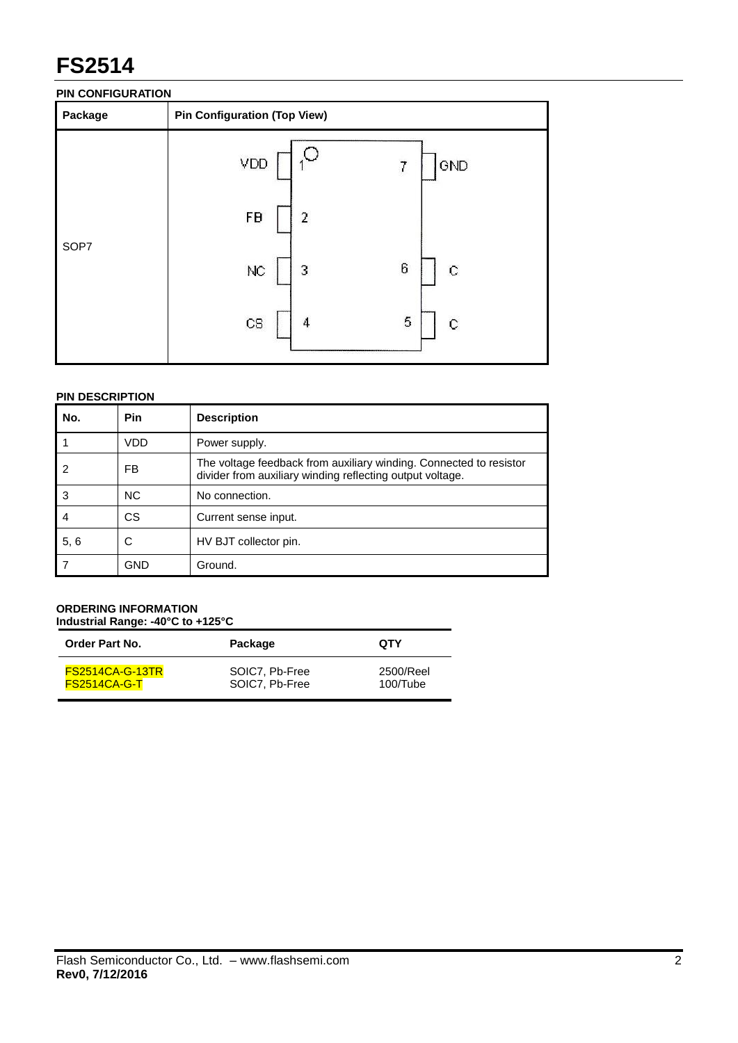## **PIN CONFIGURATION**

| Package | <b>Pin Configuration (Top View)</b>  |
|---------|--------------------------------------|
|         | VDD<br>GND<br>7                      |
| SOP7    | FB<br>2                              |
|         | 6<br>$\mathbf C$<br>NC<br>3          |
|         | 5<br>$\mathbf C$<br>$_{\rm CS}$<br>4 |
|         |                                      |

## **PIN DESCRIPTION**

| No.  | <b>Pin</b>     | <b>Description</b>                                                                                                              |
|------|----------------|---------------------------------------------------------------------------------------------------------------------------------|
|      | VDD            | Power supply.                                                                                                                   |
| 2    | FB             | The voltage feedback from auxiliary winding. Connected to resistor<br>divider from auxiliary winding reflecting output voltage. |
| 3    | N <sub>C</sub> | No connection.                                                                                                                  |
|      | СS             | Current sense input.                                                                                                            |
| 5, 6 | С              | HV BJT collector pin.                                                                                                           |
|      | GND            | Ground.                                                                                                                         |

#### **ORDERING INFORMATION Industrial Range: -40°C to +125°C**

| <b>Order Part No.</b>  | Package        | <b>OTY</b> |
|------------------------|----------------|------------|
| <b>FS2514CA-G-13TR</b> | SOIC7, Pb-Free | 2500/Reel  |
| <b>FS2514CA-G-T</b>    | SOIC7, Pb-Free | 100/Tube   |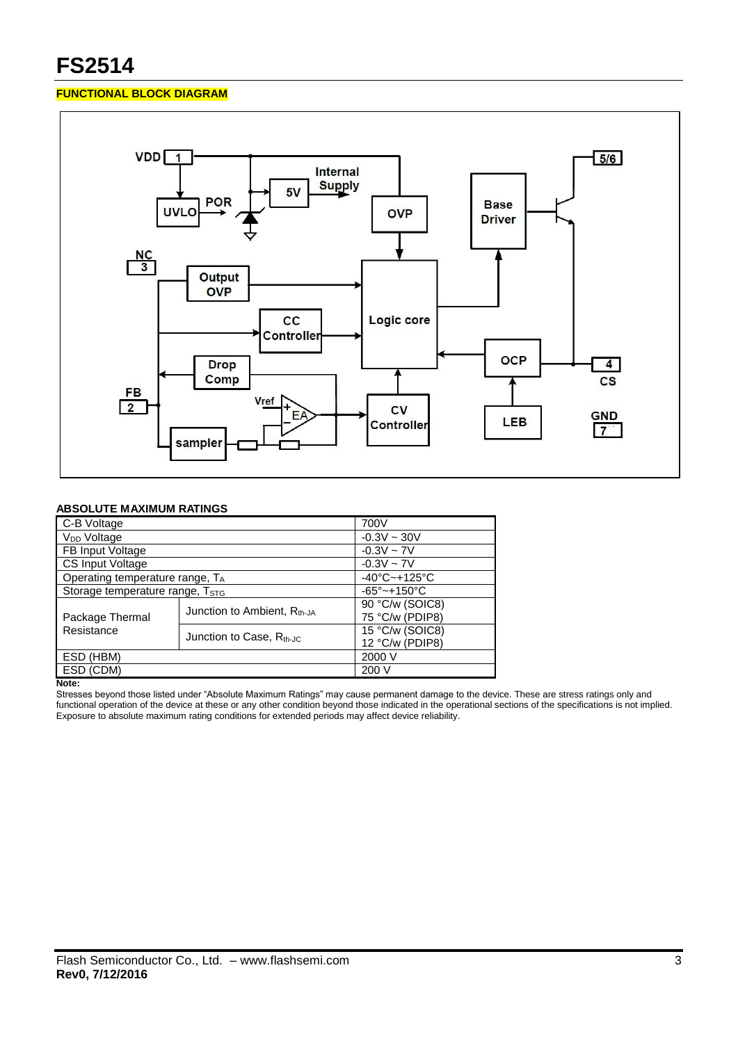## **FUNCTIONAL BLOCK DIAGRAM**



## **ABSOLUTE MAXIMUM RATINGS**

| C-B Voltage                                 | 700V                              |                                    |
|---------------------------------------------|-----------------------------------|------------------------------------|
| V <sub>DD</sub> Voltage                     |                                   | $-0.3V \sim 30V$                   |
| FB Input Voltage                            |                                   | $-0.3V \sim 7V$                    |
| <b>CS Input Voltage</b>                     | $-0.3V \sim 7V$                   |                                    |
| Operating temperature range, $T_A$          | $-40^{\circ}$ C $-+125^{\circ}$ C |                                    |
| Storage temperature range, T <sub>STG</sub> |                                   | $-65^{\circ}$ ~+150 $^{\circ}$ C   |
|                                             | Junction to Ambient, $R_{th-JA}$  | $\overline{90\degree}$ C/w (SOIC8) |
| Package Thermal                             |                                   | 75 °C/w (PDIP8)                    |
| Resistance                                  | Junction to Case, $R_{th-IC}$     | 15 °C/w (SOIC8)                    |
|                                             |                                   | 12 °C/w (PDIP8)                    |
| ESD (HBM)                                   |                                   | 2000 V                             |
| ESD (CDM)                                   |                                   | 200 V                              |

**Note:**

Stresses beyond those listed under "Absolute Maximum Ratings" may cause permanent damage to the device. These are stress ratings only and functional operation of the device at these or any other condition beyond those indicated in the operational sections of the specifications is not implied. Exposure to absolute maximum rating conditions for extended periods may affect device reliability.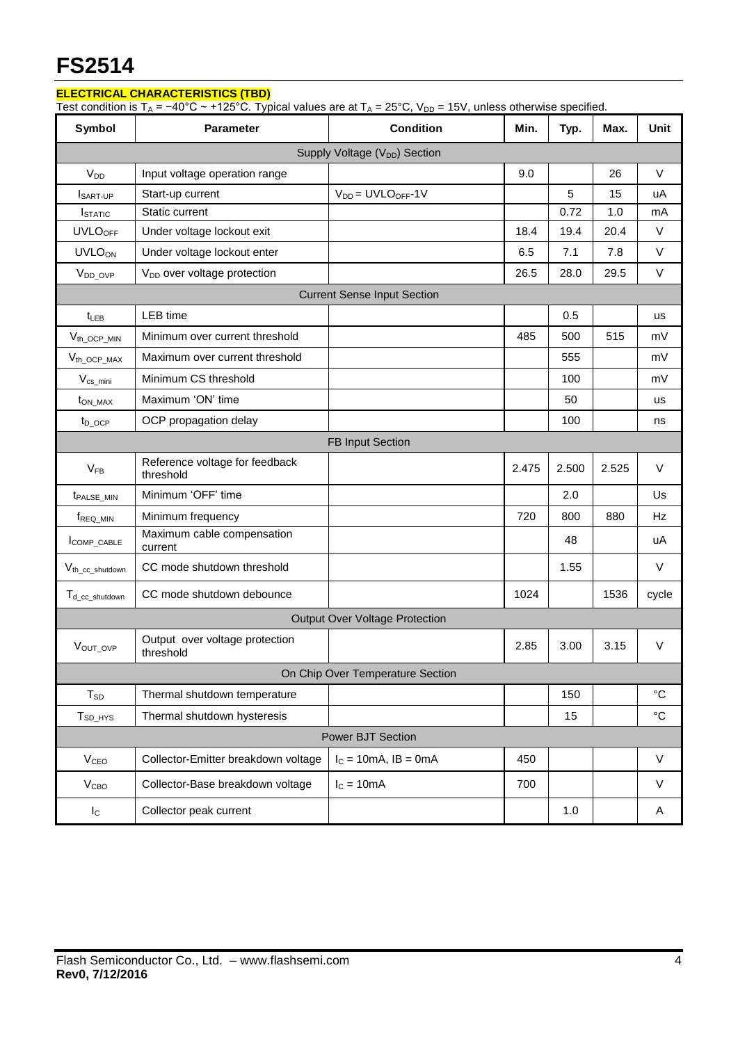## **ELECTRICAL CHARACTERISTICS (TBD)**

Test condition is T<sub>A</sub> = −40°C ~ +125°C. Typical values are at T<sub>A</sub> = 25°C, V<sub>DD</sub> = 15V, unless otherwise specified.

| Symbol                                    | <b>Parameter</b>                            | <b>Condition</b>                   | Min.  | Typ.  | Max.  | <b>Unit</b>     |  |
|-------------------------------------------|---------------------------------------------|------------------------------------|-------|-------|-------|-----------------|--|
| Supply Voltage (V <sub>DD</sub> ) Section |                                             |                                    |       |       |       |                 |  |
| V <sub>DD</sub>                           | Input voltage operation range               |                                    | 9.0   |       | 26    | $\vee$          |  |
| <b>I</b> SART-UP                          | Start-up current                            | $V_{DD} = UVLO_{OFF} - 1V$         |       | 5     | 15    | uA              |  |
| <b>I</b> STATIC                           | Static current                              |                                    |       | 0.72  | 1.0   | mA              |  |
| <b>UVLO<sub>OFF</sub></b>                 | Under voltage lockout exit                  |                                    | 18.4  | 19.4  | 20.4  | $\vee$          |  |
| <b>UVLOON</b>                             | Under voltage lockout enter                 |                                    | 6.5   | 7.1   | 7.8   | $\vee$          |  |
| V <sub>DD</sub> OVP                       | V <sub>DD</sub> over voltage protection     |                                    | 26.5  | 28.0  | 29.5  | $\vee$          |  |
|                                           |                                             | <b>Current Sense Input Section</b> |       |       |       |                 |  |
| $t_{LEB}$                                 | LEB time                                    |                                    |       | 0.5   |       | <b>us</b>       |  |
| $V_{th\_OCP\_MIN}$                        | Minimum over current threshold              |                                    | 485   | 500   | 515   | mV              |  |
| $V_{th}\_\text{OCP}\_\text{MAX}$          | Maximum over current threshold              |                                    |       | 555   |       | mV              |  |
| $V_{cs\_mini}$                            | Minimum CS threshold                        |                                    |       | 100   |       | mV              |  |
| t <sub>on MAX</sub>                       | Maximum 'ON' time                           |                                    |       | 50    |       | us              |  |
| $t_{D}$ ocp                               | OCP propagation delay                       |                                    |       | 100   |       | ns              |  |
|                                           |                                             | <b>FB Input Section</b>            |       |       |       |                 |  |
| $V_{FB}$                                  | Reference voltage for feedback<br>threshold |                                    | 2.475 | 2.500 | 2.525 | $\vee$          |  |
| <b><i>t<sub>PALSE</sub></i></b> MIN       | Minimum 'OFF' time                          |                                    |       | 2.0   |       | Us              |  |
| TREQ MIN                                  | Minimum frequency                           |                                    | 720   | 800   | 880   | Hz              |  |
| COMP_CABLE                                | Maximum cable compensation<br>current       |                                    |       | 48    |       | uA              |  |
| V <sub>th</sub> cc shutdown               | CC mode shutdown threshold                  |                                    |       | 1.55  |       | $\vee$          |  |
| T <sub>d_cc_shutdown</sub>                | CC mode shutdown debounce                   |                                    | 1024  |       | 1536  | cycle           |  |
| <b>Output Over Voltage Protection</b>     |                                             |                                    |       |       |       |                 |  |
| VOUT_OVP                                  | Output over voltage protection<br>threshold |                                    | 2.85  | 3.00  | 3.15  | V               |  |
| On Chip Over Temperature Section          |                                             |                                    |       |       |       |                 |  |
| $T_{SD}$                                  | Thermal shutdown temperature                |                                    |       | 150   |       | $\rm ^{\circ}C$ |  |
| $T_{SD_HYS}$                              | Thermal shutdown hysteresis                 |                                    |       | 15    |       | $^{\circ}C$     |  |
| Power BJT Section                         |                                             |                                    |       |       |       |                 |  |
| <b>V<sub>CEO</sub></b>                    | Collector-Emitter breakdown voltage         | $I_c = 10mA$ , $IB = 0mA$          | 450   |       |       | $\mathsf{V}$    |  |
| V <sub>CBO</sub>                          | Collector-Base breakdown voltage            | $IC = 10mA$                        | 700   |       |       | V               |  |
| $I_{\rm C}$                               | Collector peak current                      |                                    |       | 1.0   |       | A               |  |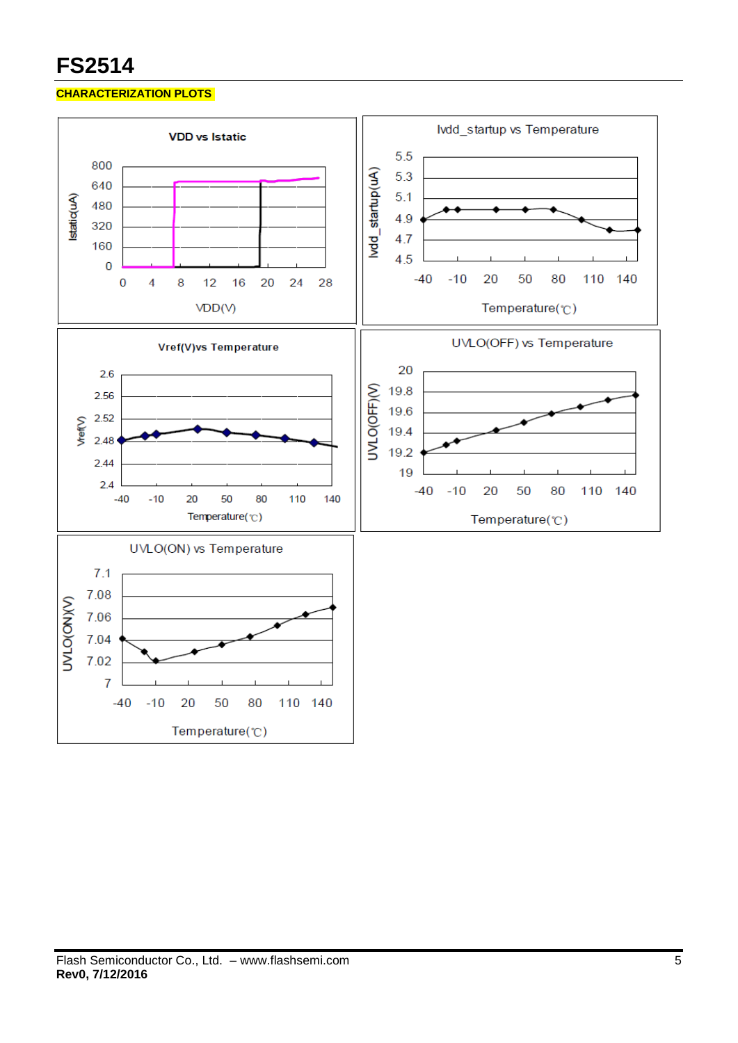## **CHARACTERIZATION PLOTS**

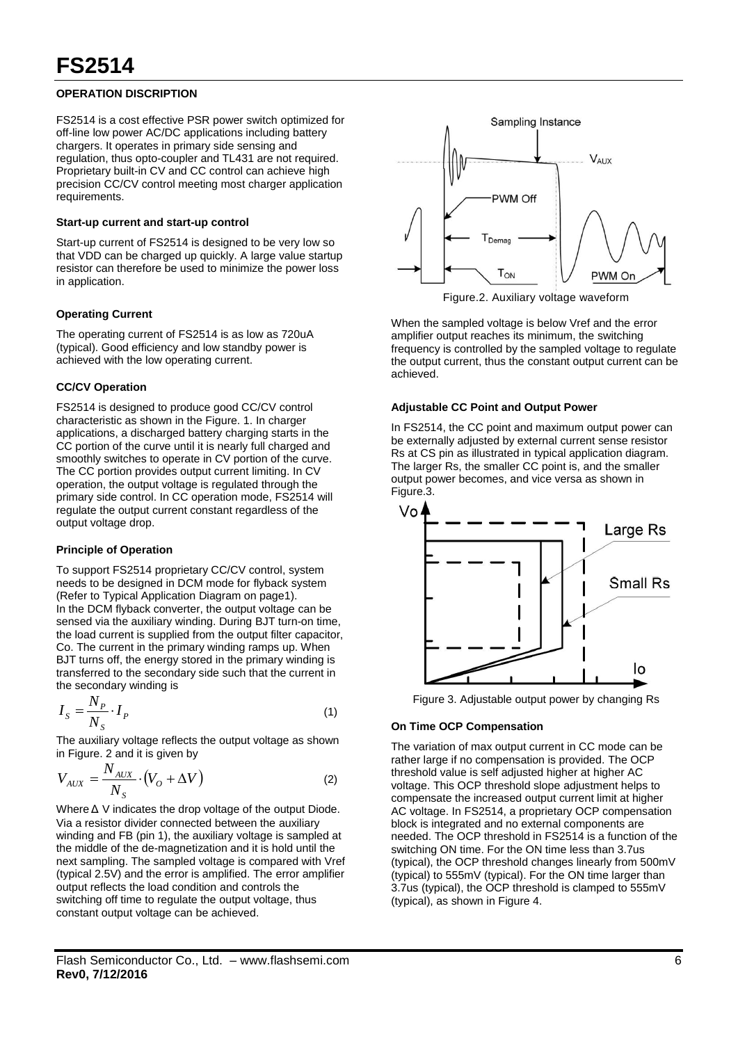## **OPERATION DISCRIPTION**

FS2514 is a cost effective PSR power switch optimized for off-line low power AC/DC applications including battery chargers. It operates in primary side sensing and regulation, thus opto-coupler and TL431 are not required. Proprietary built-in CV and CC control can achieve high precision CC/CV control meeting most charger application requirements.

#### **Start-up current and start-up control**

Start-up current of FS2514 is designed to be very low so that VDD can be charged up quickly. A large value startup resistor can therefore be used to minimize the power loss in application.

## **Operating Current**

The operating current of FS2514 is as low as 720uA (typical). Good efficiency and low standby power is achieved with the low operating current.

### **CC/CV Operation**

FS2514 is designed to produce good CC/CV control characteristic as shown in the Figure. 1. In charger applications, a discharged battery charging starts in the CC portion of the curve until it is nearly full charged and smoothly switches to operate in CV portion of the curve. The CC portion provides output current limiting. In CV operation, the output voltage is regulated through the primary side control. In CC operation mode, FS2514 will regulate the output current constant regardless of the output voltage drop.

## **Principle of Operation**

To support FS2514 proprietary CC/CV control, system needs to be designed in DCM mode for flyback system (Refer to Typical Application Diagram on page1). In the DCM flyback converter, the output voltage can be sensed via the auxiliary winding. During BJT turn-on time, the load current is supplied from the output filter capacitor, Co. The current in the primary winding ramps up. When BJT turns off, the energy stored in the primary winding is transferred to the secondary side such that the current in the secondary winding is

$$
I_{S} = \frac{N_{P}}{N_{S}} \cdot I_{P}
$$
\n<sup>(1)</sup>

The auxiliary voltage reflects the output voltage as shown in Figure. 2 and it is given by

$$
V_{AUX} = \frac{N_{AUX}}{N_S} \cdot (V_O + \Delta V)
$$
 (2)

Where Δ V indicates the drop voltage of the output Diode. Via a resistor divider connected between the auxiliary winding and FB (pin 1), the auxiliary voltage is sampled at the middle of the de-magnetization and it is hold until the next sampling. The sampled voltage is compared with Vref (typical 2.5V) and the error is amplified. The error amplifier output reflects the load condition and controls the switching off time to regulate the output voltage, thus constant output voltage can be achieved.



Figure.2. Auxiliary voltage waveform

When the sampled voltage is below Vref and the error amplifier output reaches its minimum, the switching frequency is controlled by the sampled voltage to regulate the output current, thus the constant output current can be achieved.

### **Adjustable CC Point and Output Power**

In FS2514, the CC point and maximum output power can be externally adjusted by external current sense resistor Rs at CS pin as illustrated in typical application diagram. The larger Rs, the smaller CC point is, and the smaller output power becomes, and vice versa as shown in Figure.3.



Figure 3. Adjustable output power by changing Rs

## **On Time OCP Compensation**

The variation of max output current in CC mode can be rather large if no compensation is provided. The OCP threshold value is self adjusted higher at higher AC voltage. This OCP threshold slope adjustment helps to compensate the increased output current limit at higher AC voltage. In FS2514, a proprietary OCP compensation block is integrated and no external components are needed. The OCP threshold in FS2514 is a function of the switching ON time. For the ON time less than 3.7us (typical), the OCP threshold changes linearly from 500mV (typical) to 555mV (typical). For the ON time larger than 3.7us (typical), the OCP threshold is clamped to 555mV (typical), as shown in Figure 4.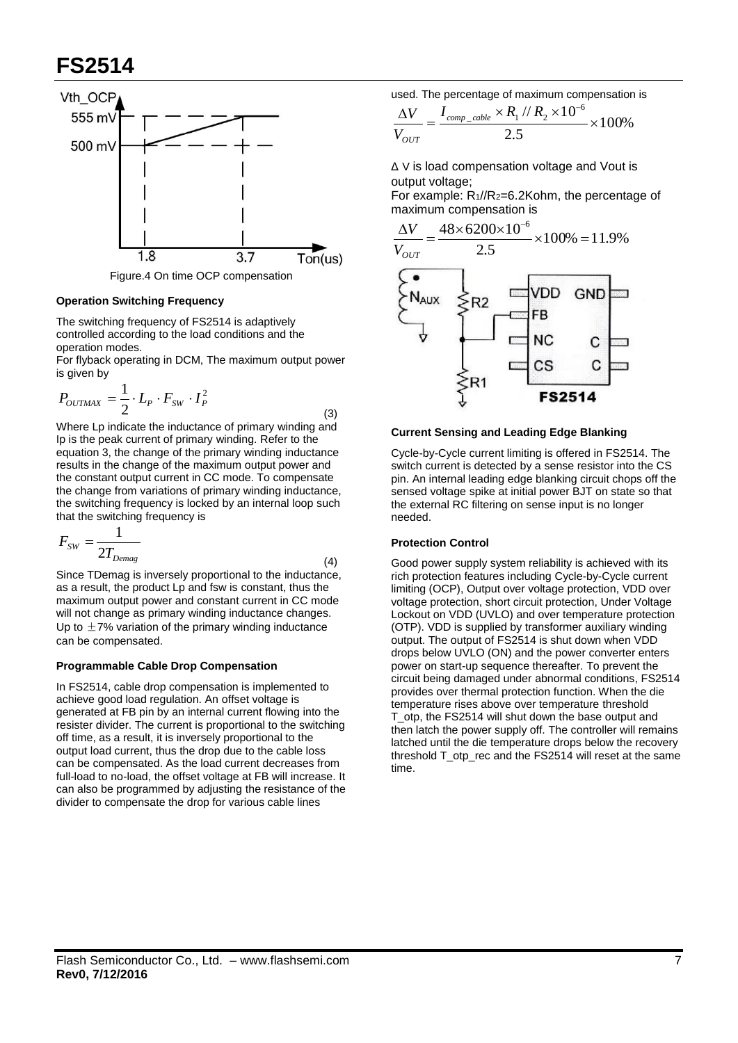

Figure.4 On time OCP compensation

#### **Operation Switching Frequency**

The switching frequency of FS2514 is adaptively controlled according to the load conditions and the operation modes.

For flyback operating in DCM, The maximum output power is given by

$$
P_{OUTMAX} = \frac{1}{2} \cdot L_p \cdot F_{SW} \cdot I_p^2
$$

Where Lp indicate the inductance of primary winding and Ip is the peak current of primary winding. Refer to the equation 3, the change of the primary winding inductance results in the change of the maximum output power and the constant output current in CC mode. To compensate the change from variations of primary winding inductance, the switching frequency is locked by an internal loop such that the switching frequency is

$$
F_{SW} = \frac{1}{2T_{Demag}}
$$
\n(4)

Since TDemag is inversely proportional to the inductance, as a result, the product Lp and fsw is constant, thus the maximum output power and constant current in CC mode will not change as primary winding inductance changes. Up to  $\pm$ 7% variation of the primary winding inductance can be compensated.

#### **Programmable Cable Drop Compensation**

In FS2514, cable drop compensation is implemented to achieve good load regulation. An offset voltage is generated at FB pin by an internal current flowing into the resister divider. The current is proportional to the switching off time, as a result, it is inversely proportional to the output load current, thus the drop due to the cable loss can be compensated. As the load current decreases from full-load to no-load, the offset voltage at FB will increase. It can also be programmed by adjusting the resistance of the divider to compensate the drop for various cable lines

used. The percentage of maximum compensation is

$$
\frac{\Delta V}{V_{OUT}} = \frac{I_{comp\_cable} \times R_1 \text{ // } R_2 \times 10^{-6}}{2.5} \times 100\%
$$

Δ V is load compensation voltage and Vout is output voltage;

For example: R1//R2=6.2Kohm, the percentage of maximum compensation is



### **Current Sensing and Leading Edge Blanking**

Cycle-by-Cycle current limiting is offered in FS2514. The switch current is detected by a sense resistor into the CS pin. An internal leading edge blanking circuit chops off the sensed voltage spike at initial power BJT on state so that the external RC filtering on sense input is no longer needed.

### **Protection Control**

(3)

Good power supply system reliability is achieved with its rich protection features including Cycle-by-Cycle current limiting (OCP), Output over voltage protection, VDD over voltage protection, short circuit protection, Under Voltage Lockout on VDD (UVLO) and over temperature protection (OTP). VDD is supplied by transformer auxiliary winding output. The output of FS2514 is shut down when VDD drops below UVLO (ON) and the power converter enters power on start-up sequence thereafter. To prevent the circuit being damaged under abnormal conditions, FS2514 provides over thermal protection function. When the die temperature rises above over temperature threshold T\_otp, the FS2514 will shut down the base output and then latch the power supply off. The controller will remains latched until the die temperature drops below the recovery threshold T\_otp\_rec and the FS2514 will reset at the same time.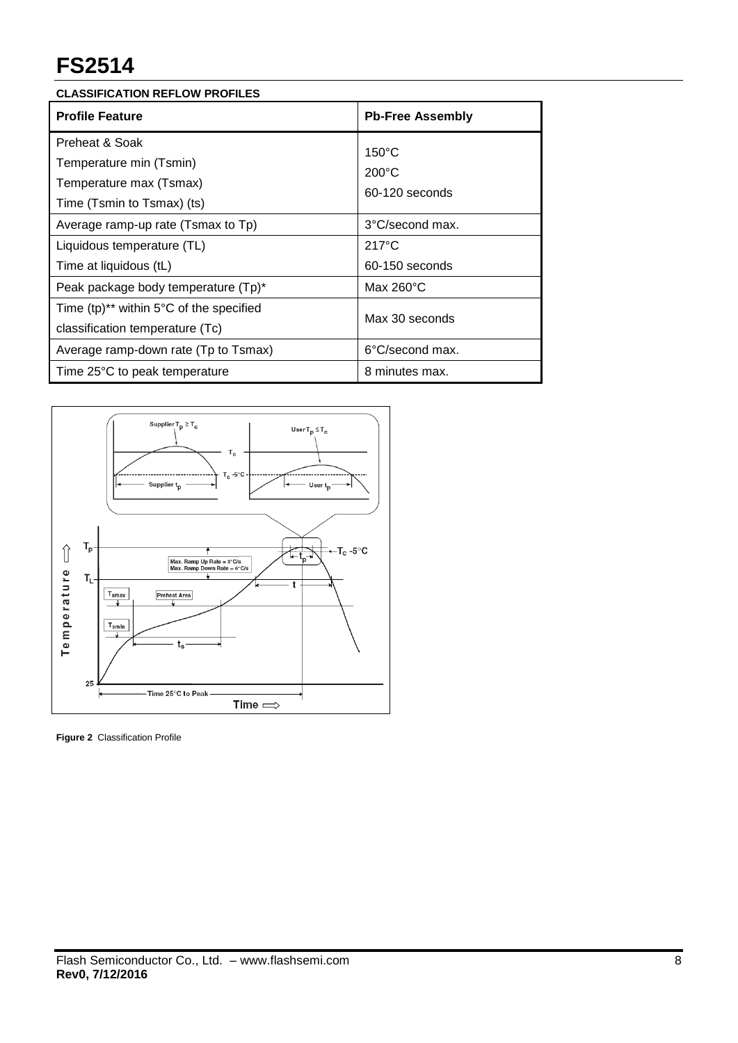| <b>CLASSIFICATION REFLOW PROFILES</b> |  |
|---------------------------------------|--|
|                                       |  |

| <b>Profile Feature</b>                                                                                                 | <b>Pb-Free Assembly</b>                              |  |
|------------------------------------------------------------------------------------------------------------------------|------------------------------------------------------|--|
| Preheat & Soak<br>Temperature min (Tsmin)<br>Temperature max (Tsmax)<br>Time (Tsmin to Tsmax) (ts)                     | $150^{\circ}$ C<br>$200^{\circ}$ C<br>60-120 seconds |  |
| Average ramp-up rate (Tsmax to Tp)<br>Liquidous temperature (TL)                                                       | 3°C/second max.<br>$217^{\circ}$ C                   |  |
| Time at liquidous (tL)                                                                                                 | 60-150 seconds                                       |  |
| Peak package body temperature (Tp)*<br>Time $(tp)^{**}$ within 5°C of the specified<br>classification temperature (Tc) | Max $260^{\circ}$ C<br>Max 30 seconds                |  |
| Average ramp-down rate (Tp to Tsmax)<br>Time 25°C to peak temperature                                                  | 6°C/second max.<br>8 minutes max.                    |  |



**Figure 2** Classification Profile